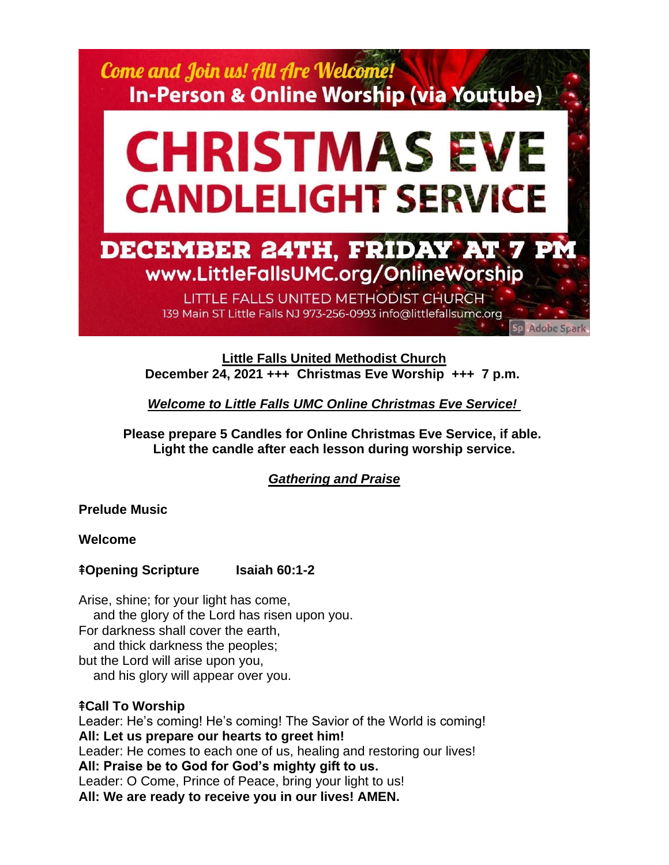

**Little Falls United Methodist Church December 24, 2021 +++ Christmas Eve Worship +++ 7 p.m.**

*Welcome to Little Falls UMC Online Christmas Eve Service!*

**Please prepare 5 Candles for Online Christmas Eve Service, if able. Light the candle after each lesson during worship service.**

*Gathering and Praise*

**Prelude Music**

**Welcome** 

⇞**Opening Scripture Isaiah 60:1-2**

Arise, shine; for your light has come, and the glory of the Lord has risen upon you. For darkness shall cover the earth, and thick darkness the peoples; but the Lord will arise upon you, and his glory will appear over you.

## ⇞**Call To Worship**

Leader: He's coming! He's coming! The Savior of the World is coming! **All: Let us prepare our hearts to greet him!** Leader: He comes to each one of us, healing and restoring our lives! **All: Praise be to God for God's mighty gift to us.** Leader: O Come, Prince of Peace, bring your light to us! **All: We are ready to receive you in our lives! AMEN.**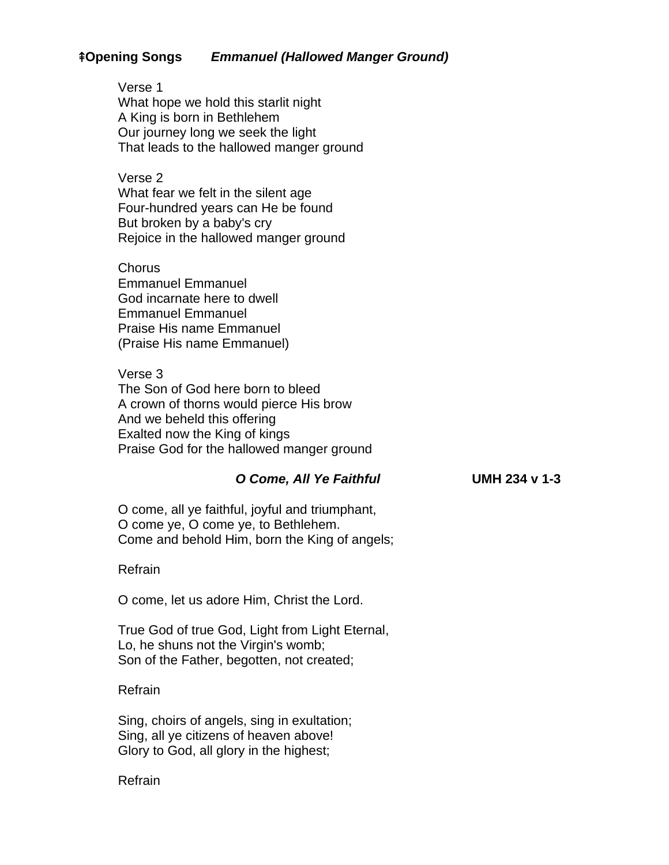## ⇞**Opening Songs** *Emmanuel (Hallowed Manger Ground)*

Verse 1 What hope we hold this starlit night A King is born in Bethlehem Our journey long we seek the light That leads to the hallowed manger ground

#### Verse 2

What fear we felt in the silent age Four-hundred years can He be found But broken by a baby's cry Rejoice in the hallowed manger ground

Chorus Emmanuel Emmanuel God incarnate here to dwell Emmanuel Emmanuel Praise His name Emmanuel (Praise His name Emmanuel)

Verse 3 The Son of God here born to bleed A crown of thorns would pierce His brow And we beheld this offering Exalted now the King of kings Praise God for the hallowed manger ground

#### *O Come, All Ye Faithful* **UMH 234 v 1-3**

O come, all ye faithful, joyful and triumphant, O come ye, O come ye, to Bethlehem. Come and behold Him, born the King of angels;

#### Refrain

O come, let us adore Him, Christ the Lord.

True God of true God, Light from Light Eternal, Lo, he shuns not the Virgin's womb; Son of the Father, begotten, not created;

#### Refrain

Sing, choirs of angels, sing in exultation; Sing, all ye citizens of heaven above! Glory to God, all glory in the highest;

Refrain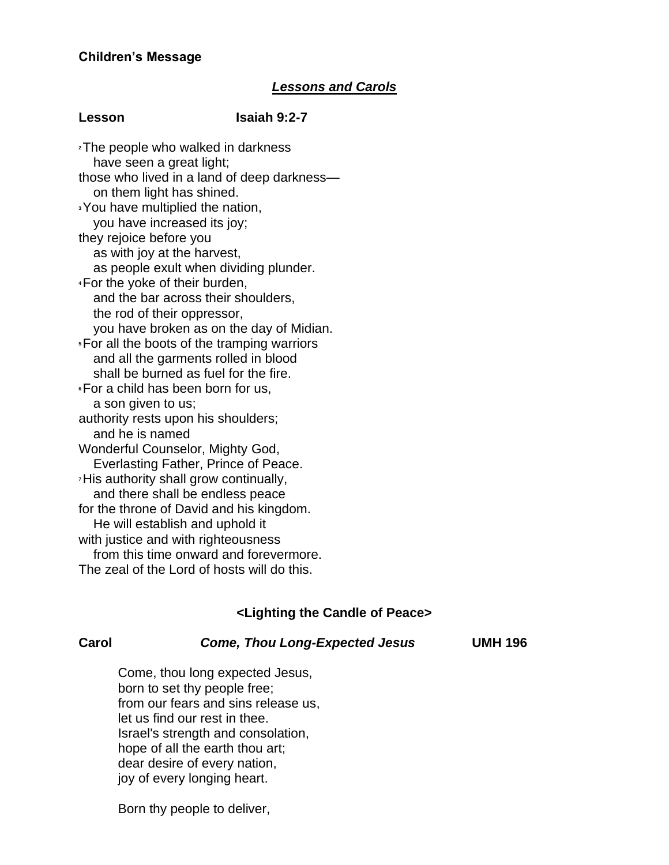## **Children's Message**

## *Lessons and Carols*

# Lesson **Isaiah 9:2-7 <sup>2</sup>**The people who walked in darkness have seen a great light; those who lived in a land of deep darkness on them light has shined. **<sup>3</sup>**You have multiplied the nation, you have increased its joy; they rejoice before you as with joy at the harvest, as people exult when dividing plunder. **<sup>4</sup>**For the yoke of their burden, and the bar across their shoulders, the rod of their oppressor, you have broken as on the day of Midian. **<sup>5</sup>**For all the boots of the tramping warriors and all the garments rolled in blood shall be burned as fuel for the fire. **<sup>6</sup>**For a child has been born for us, a son given to us; authority rests upon his shoulders; and he is named Wonderful Counselor, Mighty God, Everlasting Father, Prince of Peace. **<sup>7</sup>**His authority shall grow continually, and there shall be endless peace for the throne of David and his kingdom. He will establish and uphold it

with justice and with righteousness from this time onward and forevermore. The zeal of the Lord of hosts will do this.

# **<Lighting the Candle of Peace>**

#### **Carol** *Come, Thou Long-Expected Jesus* **UMH 196**

Come, thou long expected Jesus, born to set thy people free; from our fears and sins release us, let us find our rest in thee. Israel's strength and consolation, hope of all the earth thou art; dear desire of every nation, joy of every longing heart.

Born thy people to deliver,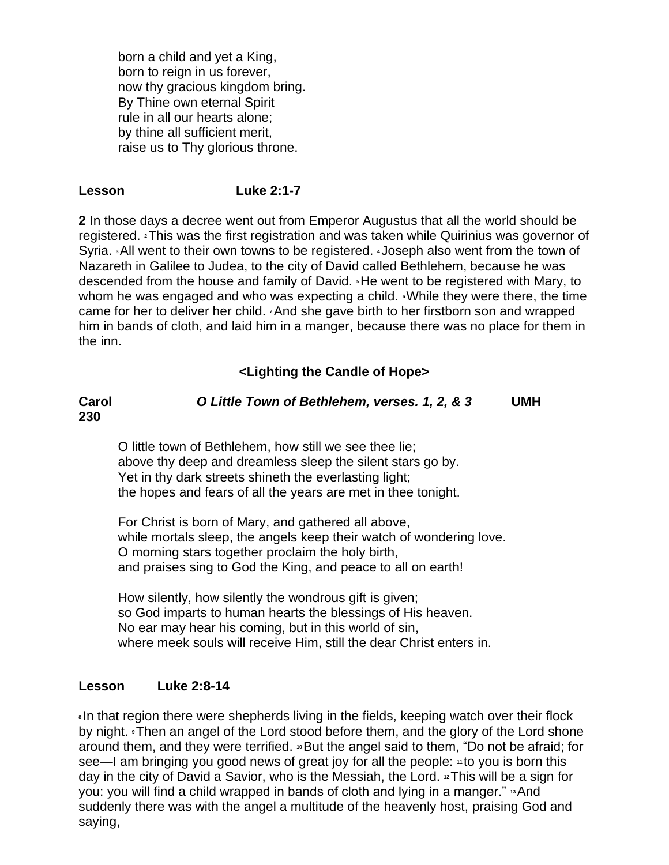born a child and yet a King, born to reign in us forever, now thy gracious kingdom bring. By Thine own eternal Spirit rule in all our hearts alone; by thine all sufficient merit, raise us to Thy glorious throne.

## **Lesson Luke 2:1-7**

**2** In those days a decree went out from Emperor Augustus that all the world should be registered. **<sup>2</sup>**This was the first registration and was taken while Quirinius was governor of Syria. **<sup>3</sup>**All went to their own towns to be registered. **<sup>4</sup>** Joseph also went from the town of Nazareth in Galilee to Judea, to the city of David called Bethlehem, because he was descended from the house and family of David. **<sup>5</sup>**He went to be registered with Mary, to whom he was engaged and who was expecting a child. *Mhile they were there, the time* came for her to deliver her child. **<sup>7</sup>**And she gave birth to her firstborn son and wrapped him in bands of cloth, and laid him in a manger, because there was no place for them in the inn.

## **<Lighting the Candle of Hope>**

#### **Carol** *O Little Town of Bethlehem, verses. 1, 2, & 3* **UMH 230**

O little town of Bethlehem, how still we see thee lie; above thy deep and dreamless sleep the silent stars go by. Yet in thy dark streets shineth the everlasting light; the hopes and fears of all the years are met in thee tonight.

For Christ is born of Mary, and gathered all above, while mortals sleep, the angels keep their watch of wondering love. O morning stars together proclaim the holy birth, and praises sing to God the King, and peace to all on earth!

How silently, how silently the wondrous gift is given; so God imparts to human hearts the blessings of His heaven. No ear may hear his coming, but in this world of sin, where meek souls will receive Him, still the dear Christ enters in.

## **Lesson Luke 2:8-14**

**<sup>8</sup>** In that region there were shepherds living in the fields, keeping watch over their flock by night. **<sup>9</sup>**Then an angel of the Lord stood before them, and the glory of the Lord shone around them, and they were terrified. *<b>D* But the angel said to them, "Do not be afraid; for see—I am bringing you good news of great joy for all the people: **11** to you is born this day in the city of David a Savior, who is the Messiah, the Lord. **<sup>12</sup>**This will be a sign for you: you will find a child wrapped in bands of cloth and lying in a manger." **<sup>13</sup>**And suddenly there was with the angel a multitude of the heavenly host, praising God and saying,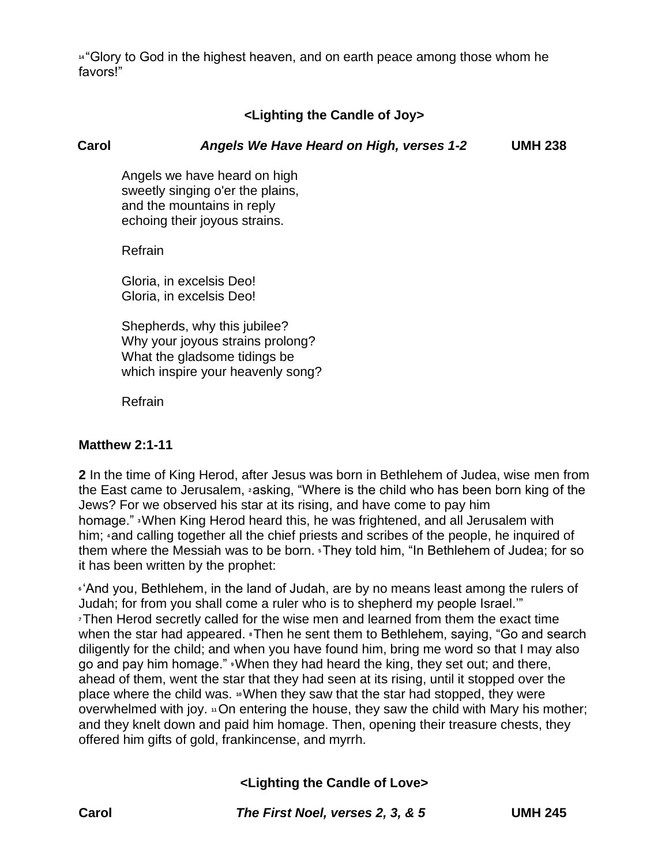**<sup>14</sup>** "Glory to God in the highest heaven, and on earth peace among those whom he favors!"

## **<Lighting the Candle of Joy>**

## **Carol** *Angels We Have Heard on High, verses 1-2* **UMH 238**

Angels we have heard on high sweetly singing o'er the plains, and the mountains in reply echoing their joyous strains.

Refrain

Gloria, in excelsis Deo! Gloria, in excelsis Deo!

Shepherds, why this jubilee? Why your joyous strains prolong? What the gladsome tidings be which inspire your heavenly song?

Refrain

## **Matthew 2:1-11**

**2** In the time of King Herod, after Jesus was born in Bethlehem of Judea, wise men from the East came to Jerusalem, **<sup>2</sup>** asking, "Where is the child who has been born king of the Jews? For we observed his star at its rising, and have come to pay him homage." **<sup>3</sup>**When King Herod heard this, he was frightened, and all Jerusalem with him; **4** and calling together all the chief priests and scribes of the people, he inquired of them where the Messiah was to be born. **<sup>5</sup>**They told him, "In Bethlehem of Judea; for so it has been written by the prophet:

**6** 'And you, Bethlehem, in the land of Judah, are by no means least among the rulers of Judah; for from you shall come a ruler who is to shepherd my people Israel.'" **<sup>7</sup>**Then Herod secretly called for the wise men and learned from them the exact time when the star had appeared. *B*Then he sent them to Bethlehem, saying, "Go and search diligently for the child; and when you have found him, bring me word so that I may also go and pay him homage." **<sup>9</sup>**When they had heard the king, they set out; and there, ahead of them, went the star that they had seen at its rising, until it stopped over the place where the child was. **<sup>10</sup>**When they saw that the star had stopped, they were overwhelmed with joy. <sup>11</sup>On entering the house, they saw the child with Mary his mother; and they knelt down and paid him homage. Then, opening their treasure chests, they offered him gifts of gold, frankincense, and myrrh.

**<Lighting the Candle of Love>**

**Carol** *The First Noel, verses 2, 3, & 5* **UMH 245**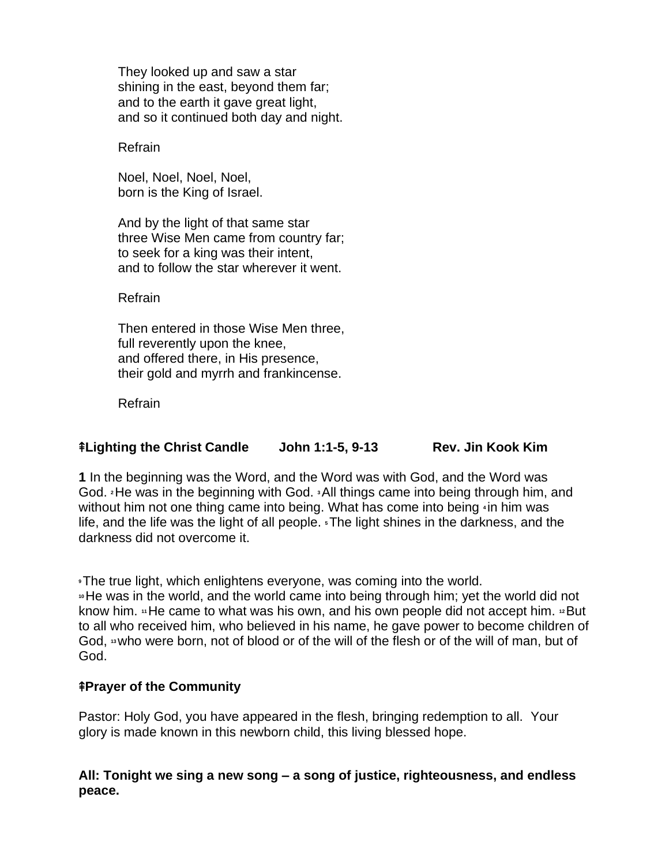They looked up and saw a star shining in the east, beyond them far; and to the earth it gave great light, and so it continued both day and night.

Refrain

Noel, Noel, Noel, Noel, born is the King of Israel.

And by the light of that same star three Wise Men came from country far; to seek for a king was their intent, and to follow the star wherever it went.

Refrain

Then entered in those Wise Men three, full reverently upon the knee, and offered there, in His presence, their gold and myrrh and frankincense.

Refrain

# ⇞**Lighting the Christ Candle John 1:1-5, 9-13 Rev. Jin Kook Kim**

**1** In the beginning was the Word, and the Word was with God, and the Word was God. **<sup>2</sup>**He was in the beginning with God. **<sup>3</sup>**All things came into being through him, and without him not one thing came into being. What has come into being <sub>*in*</sub> him was life, and the life was the light of all people. **<sup>5</sup>**The light shines in the darkness, and the darkness did not overcome it.

**<sup>9</sup>**The true light, which enlightens everyone, was coming into the world. **<sup>10</sup>**He was in the world, and the world came into being through him; yet the world did not know him. **<sup>11</sup>**He came to what was his own, and his own people did not accept him. **<sup>12</sup>**But to all who received him, who believed in his name, he gave power to become children of God, **<sup>13</sup>**who were born, not of blood or of the will of the flesh or of the will of man, but of God.

## ⇞**Prayer of the Community**

Pastor: Holy God, you have appeared in the flesh, bringing redemption to all. Your glory is made known in this newborn child, this living blessed hope.

**All: Tonight we sing a new song – a song of justice, righteousness, and endless peace.**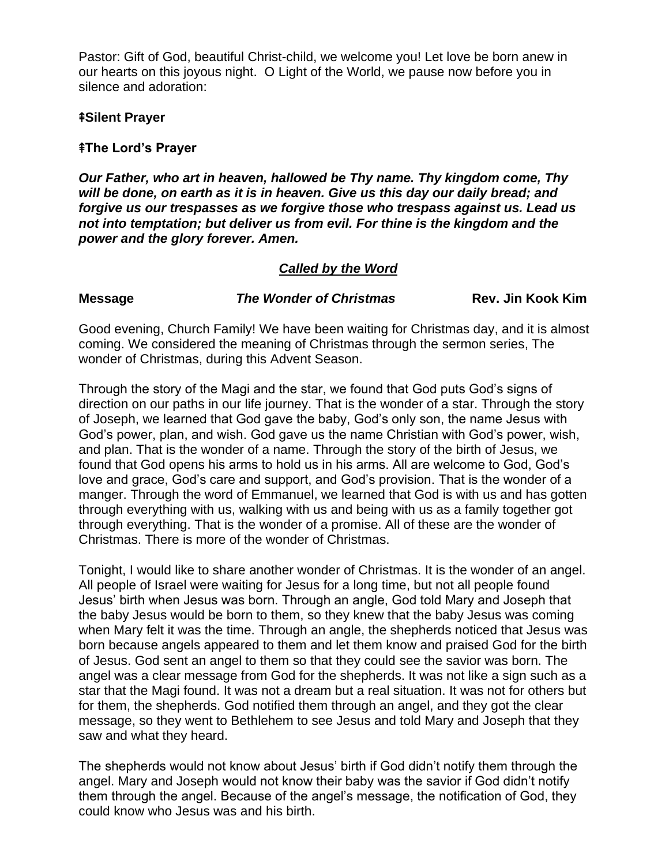Pastor: Gift of God, beautiful Christ-child, we welcome you! Let love be born anew in our hearts on this joyous night. O Light of the World, we pause now before you in silence and adoration:

## ⇞**Silent Prayer**

## ⇞**The Lord's Prayer**

*Our Father, who art in heaven, hallowed be Thy name. Thy kingdom come, Thy* will be done, on earth as it is in heaven. Give us this day our daily bread; and *forgive us our trespasses as we forgive those who trespass against us. Lead us not into temptation; but deliver us from evil. For thine is the kingdom and the power and the glory forever. Amen.*

## *Called by the Word*

# **Message** *The Wonder of Christmas* **Rev. Jin Kook Kim**

Good evening, Church Family! We have been waiting for Christmas day, and it is almost coming. We considered the meaning of Christmas through the sermon series, The wonder of Christmas, during this Advent Season.

Through the story of the Magi and the star, we found that God puts God's signs of direction on our paths in our life journey. That is the wonder of a star. Through the story of Joseph, we learned that God gave the baby, God's only son, the name Jesus with God's power, plan, and wish. God gave us the name Christian with God's power, wish, and plan. That is the wonder of a name. Through the story of the birth of Jesus, we found that God opens his arms to hold us in his arms. All are welcome to God, God's love and grace, God's care and support, and God's provision. That is the wonder of a manger. Through the word of Emmanuel, we learned that God is with us and has gotten through everything with us, walking with us and being with us as a family together got through everything. That is the wonder of a promise. All of these are the wonder of Christmas. There is more of the wonder of Christmas.

Tonight, I would like to share another wonder of Christmas. It is the wonder of an angel. All people of Israel were waiting for Jesus for a long time, but not all people found Jesus' birth when Jesus was born. Through an angle, God told Mary and Joseph that the baby Jesus would be born to them, so they knew that the baby Jesus was coming when Mary felt it was the time. Through an angle, the shepherds noticed that Jesus was born because angels appeared to them and let them know and praised God for the birth of Jesus. God sent an angel to them so that they could see the savior was born. The angel was a clear message from God for the shepherds. It was not like a sign such as a star that the Magi found. It was not a dream but a real situation. It was not for others but for them, the shepherds. God notified them through an angel, and they got the clear message, so they went to Bethlehem to see Jesus and told Mary and Joseph that they saw and what they heard.

The shepherds would not know about Jesus' birth if God didn't notify them through the angel. Mary and Joseph would not know their baby was the savior if God didn't notify them through the angel. Because of the angel's message, the notification of God, they could know who Jesus was and his birth.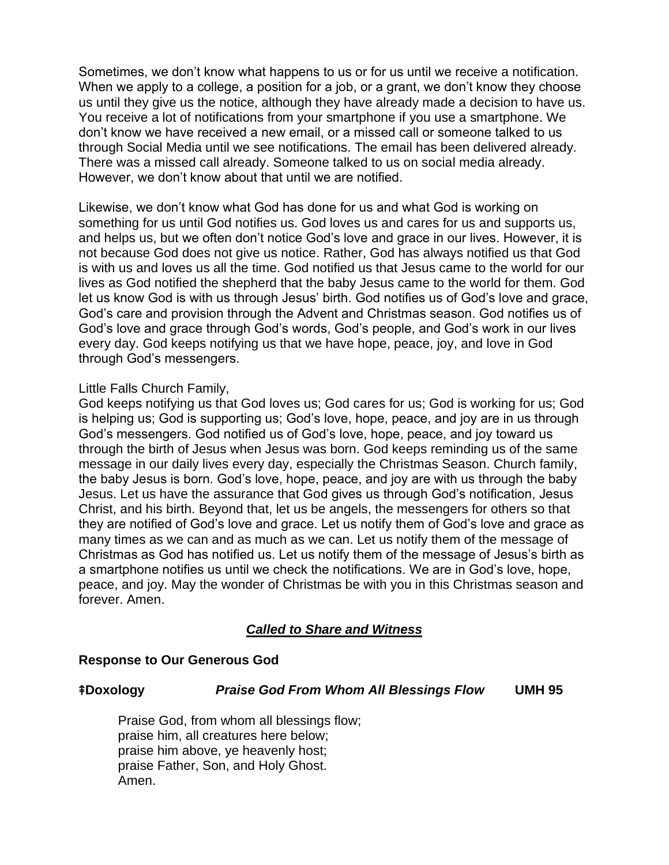Sometimes, we don't know what happens to us or for us until we receive a notification. When we apply to a college, a position for a job, or a grant, we don't know they choose us until they give us the notice, although they have already made a decision to have us. You receive a lot of notifications from your smartphone if you use a smartphone. We don't know we have received a new email, or a missed call or someone talked to us through Social Media until we see notifications. The email has been delivered already. There was a missed call already. Someone talked to us on social media already. However, we don't know about that until we are notified.

Likewise, we don't know what God has done for us and what God is working on something for us until God notifies us. God loves us and cares for us and supports us, and helps us, but we often don't notice God's love and grace in our lives. However, it is not because God does not give us notice. Rather, God has always notified us that God is with us and loves us all the time. God notified us that Jesus came to the world for our lives as God notified the shepherd that the baby Jesus came to the world for them. God let us know God is with us through Jesus' birth. God notifies us of God's love and grace, God's care and provision through the Advent and Christmas season. God notifies us of God's love and grace through God's words, God's people, and God's work in our lives every day. God keeps notifying us that we have hope, peace, joy, and love in God through God's messengers.

## Little Falls Church Family,

God keeps notifying us that God loves us; God cares for us; God is working for us; God is helping us; God is supporting us; God's love, hope, peace, and joy are in us through God's messengers. God notified us of God's love, hope, peace, and joy toward us through the birth of Jesus when Jesus was born. God keeps reminding us of the same message in our daily lives every day, especially the Christmas Season. Church family, the baby Jesus is born. God's love, hope, peace, and joy are with us through the baby Jesus. Let us have the assurance that God gives us through God's notification, Jesus Christ, and his birth. Beyond that, let us be angels, the messengers for others so that they are notified of God's love and grace. Let us notify them of God's love and grace as many times as we can and as much as we can. Let us notify them of the message of Christmas as God has notified us. Let us notify them of the message of Jesus's birth as a smartphone notifies us until we check the notifications. We are in God's love, hope, peace, and joy. May the wonder of Christmas be with you in this Christmas season and forever. Amen.

## *Called to Share and Witness*

#### **Response to Our Generous God**

#### ⇞**Doxology** *Praise God From Whom All Blessings Flow* **UMH 95**

Praise God, from whom all blessings flow; praise him, all creatures here below; praise him above, ye heavenly host; praise Father, Son, and Holy Ghost. Amen.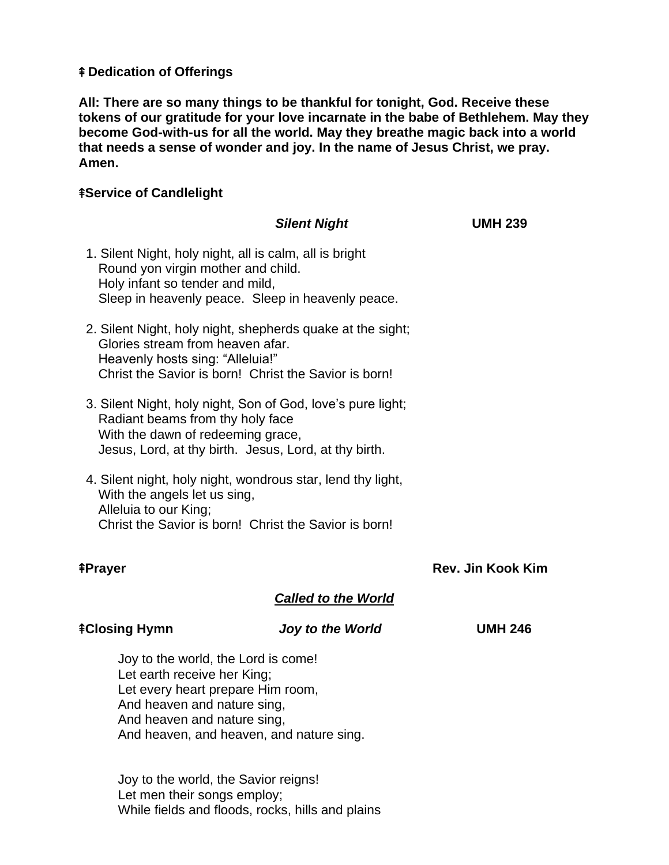## ⇞ **Dedication of Offerings**

**All: There are so many things to be thankful for tonight, God. Receive these tokens of our gratitude for your love incarnate in the babe of Bethlehem. May they become God-with-us for all the world. May they breathe magic back into a world that needs a sense of wonder and joy. In the name of Jesus Christ, we pray. Amen.**

## ⇞**Service of Candlelight**

#### *Silent Night* **UMH 239**

- 1. Silent Night, holy night, all is calm, all is bright Round yon virgin mother and child. Holy infant so tender and mild, Sleep in heavenly peace. Sleep in heavenly peace.
- 2. Silent Night, holy night, shepherds quake at the sight; Glories stream from heaven afar. Heavenly hosts sing: "Alleluia!" Christ the Savior is born! Christ the Savior is born!
- 3. Silent Night, holy night, Son of God, love's pure light; Radiant beams from thy holy face With the dawn of redeeming grace, Jesus, Lord, at thy birth. Jesus, Lord, at thy birth.
- 4. Silent night, holy night, wondrous star, lend thy light, With the angels let us sing, Alleluia to our King; Christ the Savior is born! Christ the Savior is born!

⇞**Prayer Rev. Jin Kook Kim**

## *Called to the World*

## ⇞**Closing Hymn** *Joy to the World* **UMH 246**

Joy to the world, the Lord is come! Let earth receive her King; Let every heart prepare Him room, And heaven and nature sing, And heaven and nature sing, And heaven, and heaven, and nature sing.

Joy to the world, the Savior reigns! Let men their songs employ; While fields and floods, rocks, hills and plains